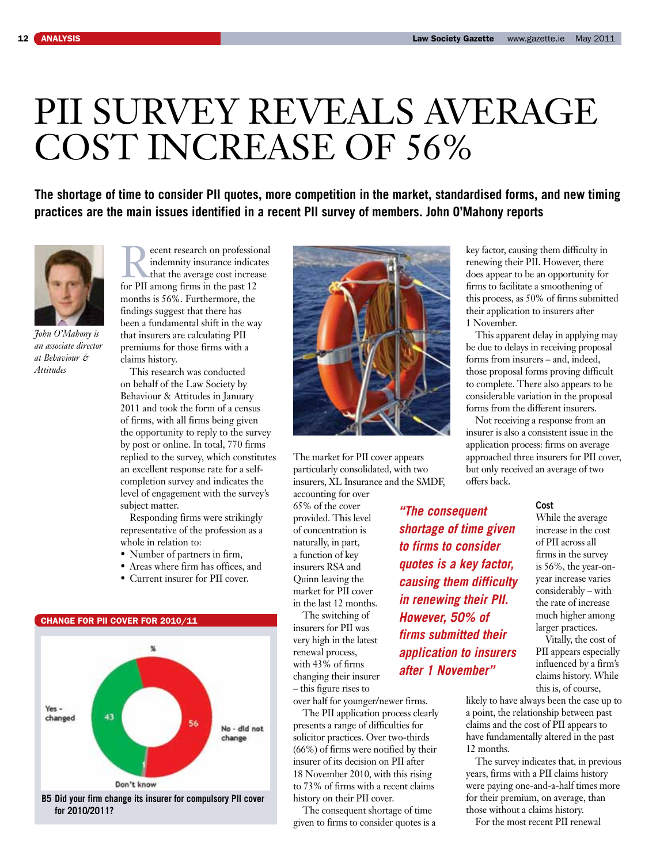## pii survey reveals average cost increase of 56%

The shortage of time to consider PII quotes, more competition in the market, standardised forms, and new timing **practices are the main issues identified in a recent PII survey of members. John O'Mahony reports**



*John O'Mahony is an associate director at Behaviour & Attitudes*

Fracent research on professional<br>
indemnity insurance indicates<br>
that the average cost increase<br>
for PII among firms in the past 12 indemnity insurance indicates for PII among firms in the past 12 months is 56%. Furthermore, the findings suggest that there has been a fundamental shift in the way that insurers are calculating PII premiums for those firms with a claims history.

This research was conducted on behalf of the Law Society by Behaviour & Attitudes in January 2011 and took the form of a census of firms, with all firms being given the opportunity to reply to the survey by post or online. In total, 770 firms replied to the survey, which constitutes an excellent response rate for a selfcompletion survey and indicates the level of engagement with the survey's subject matter.

Responding firms were strikingly representative of the profession as a whole in relation to:

- Number of partners in firm,
- Areas where firm has offices, and
- Current insurer for PII cover.



 **for 2010/2011?**



The market for PII cover appears particularly consolidated, with two insurers, XL Insurance and the SMDF, accounting for over

65% of the cover provided. This level of concentration is naturally, in part, a function of key insurers RSA and Quinn leaving the market for PII cover in the last 12 months.

The switching of insurers for PII was very high in the latest renewal process, with 43% of firms changing their insurer – this figure rises to

over half for younger/newer firms. The PII application process clearly presents a range of difficulties for solicitor practices. Over two-thirds (66%) of firms were notified by their insurer of its decision on PII after 18 November 2010, with this rising to 73% of firms with a recent claims history on their PII cover.

The consequent shortage of time given to firms to consider quotes is a key factor, causing them difficulty in renewing their PII. However, there does appear to be an opportunity for firms to facilitate a smoothening of this process, as 50% of firms submitted their application to insurers after 1 November.

This apparent delay in applying may be due to delays in receiving proposal forms from insurers – and, indeed, those proposal forms proving difficult to complete. There also appears to be considerable variation in the proposal forms from the different insurers.

Not receiving a response from an insurer is also a consistent issue in the application process: firms on average approached three insurers for PII cover, but only received an average of two offers back.

## **Cost**

While the average increase in the cost of PII across all firms in the survey is 56%, the year-onyear increase varies considerably – with the rate of increase much higher among larger practices.

Vitally, the cost of PII appears especially influenced by a firm's claims history. While this is, of course,

likely to have always been the case up to a point, the relationship between past claims and the cost of PII appears to have fundamentally altered in the past 12 months.

The survey indicates that, in previous years, firms with a PII claims history were paying one-and-a-half times more for their premium, on average, than those without a claims history.

For the most recent PII renewal

*shortage of time given to firms to consider quotes is a key factor, causing them difficulty in renewing their PII. However, 50% of firms submitted their application to insurers after 1 November"* 

*"The consequent*